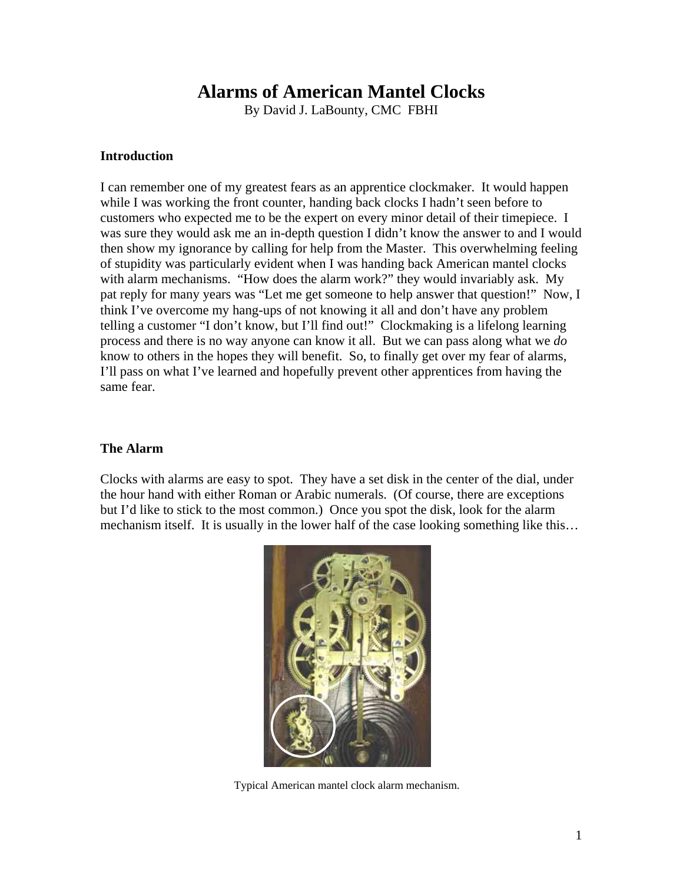# **Alarms of American Mantel Clocks**

By David J. LaBounty, CMC FBHI

#### **Introduction**

I can remember one of my greatest fears as an apprentice clockmaker. It would happen while I was working the front counter, handing back clocks I hadn't seen before to customers who expected me to be the expert on every minor detail of their timepiece. I was sure they would ask me an in-depth question I didn't know the answer to and I would then show my ignorance by calling for help from the Master. This overwhelming feeling of stupidity was particularly evident when I was handing back American mantel clocks with alarm mechanisms. "How does the alarm work?" they would invariably ask. My pat reply for many years was "Let me get someone to help answer that question!" Now, I think I've overcome my hang-ups of not knowing it all and don't have any problem telling a customer "I don't know, but I'll find out!" Clockmaking is a lifelong learning process and there is no way anyone can know it all. But we can pass along what we *do* know to others in the hopes they will benefit. So, to finally get over my fear of alarms, I'll pass on what I've learned and hopefully prevent other apprentices from having the same fear.

### **The Alarm**

Clocks with alarms are easy to spot. They have a set disk in the center of the dial, under the hour hand with either Roman or Arabic numerals. (Of course, there are exceptions but I'd like to stick to the most common.) Once you spot the disk, look for the alarm mechanism itself. It is usually in the lower half of the case looking something like this…



Typical American mantel clock alarm mechanism.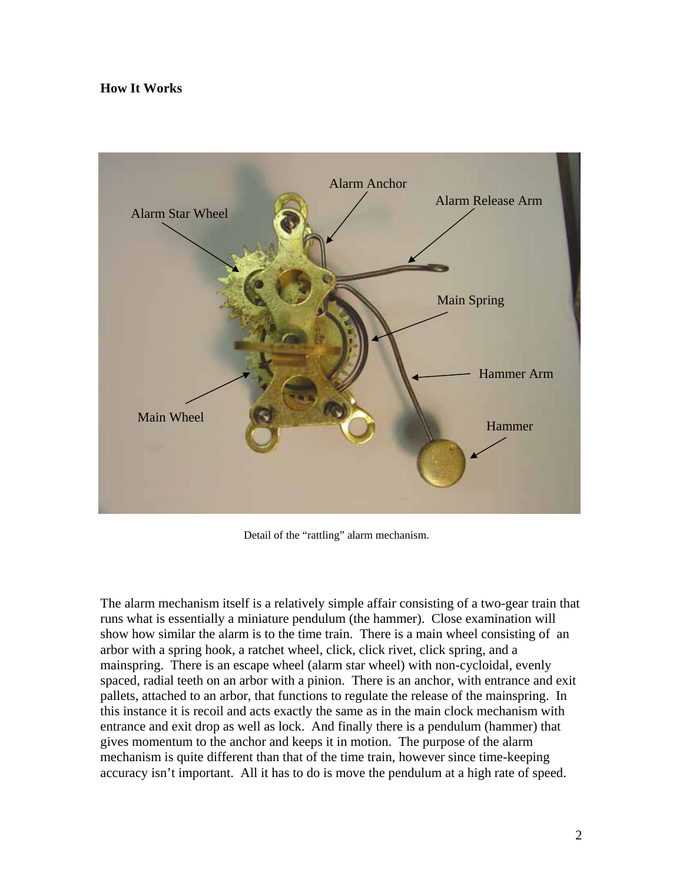## **How It Works**



Detail of the "rattling" alarm mechanism.

The alarm mechanism itself is a relatively simple affair consisting of a two-gear train that runs what is essentially a miniature pendulum (the hammer). Close examination will show how similar the alarm is to the time train. There is a main wheel consisting of an arbor with a spring hook, a ratchet wheel, click, click rivet, click spring, and a mainspring. There is an escape wheel (alarm star wheel) with non-cycloidal, evenly spaced, radial teeth on an arbor with a pinion. There is an anchor, with entrance and exit pallets, attached to an arbor, that functions to regulate the release of the mainspring. In this instance it is recoil and acts exactly the same as in the main clock mechanism with entrance and exit drop as well as lock. And finally there is a pendulum (hammer) that gives momentum to the anchor and keeps it in motion. The purpose of the alarm mechanism is quite different than that of the time train, however since time-keeping accuracy isn't important. All it has to do is move the pendulum at a high rate of speed.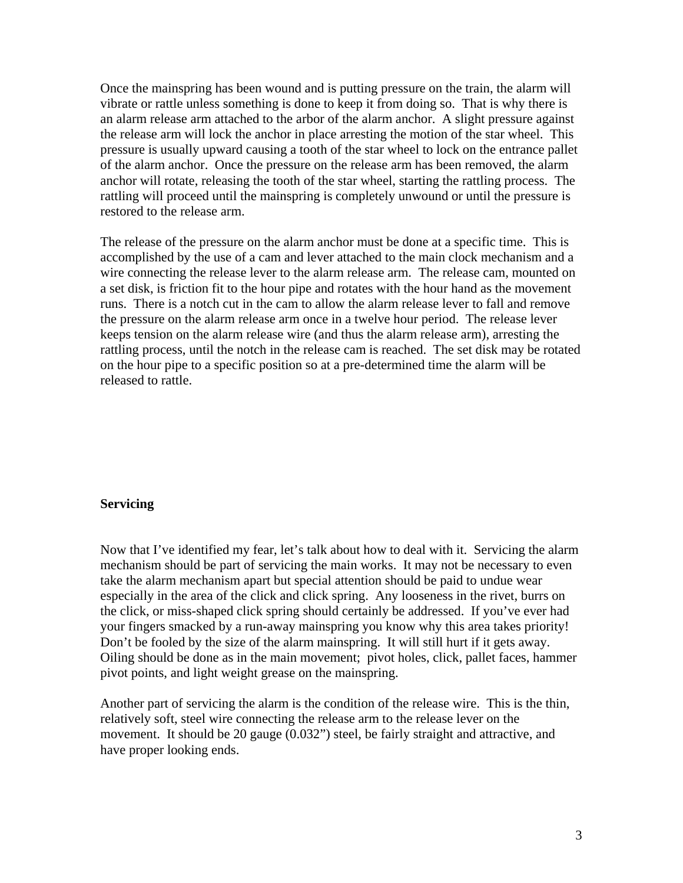Once the mainspring has been wound and is putting pressure on the train, the alarm will vibrate or rattle unless something is done to keep it from doing so. That is why there is an alarm release arm attached to the arbor of the alarm anchor. A slight pressure against the release arm will lock the anchor in place arresting the motion of the star wheel. This pressure is usually upward causing a tooth of the star wheel to lock on the entrance pallet of the alarm anchor. Once the pressure on the release arm has been removed, the alarm anchor will rotate, releasing the tooth of the star wheel, starting the rattling process. The rattling will proceed until the mainspring is completely unwound or until the pressure is restored to the release arm.

The release of the pressure on the alarm anchor must be done at a specific time. This is accomplished by the use of a cam and lever attached to the main clock mechanism and a wire connecting the release lever to the alarm release arm. The release cam, mounted on a set disk, is friction fit to the hour pipe and rotates with the hour hand as the movement runs. There is a notch cut in the cam to allow the alarm release lever to fall and remove the pressure on the alarm release arm once in a twelve hour period. The release lever keeps tension on the alarm release wire (and thus the alarm release arm), arresting the rattling process, until the notch in the release cam is reached. The set disk may be rotated on the hour pipe to a specific position so at a pre-determined time the alarm will be released to rattle.

#### **Servicing**

Now that I've identified my fear, let's talk about how to deal with it. Servicing the alarm mechanism should be part of servicing the main works. It may not be necessary to even take the alarm mechanism apart but special attention should be paid to undue wear especially in the area of the click and click spring. Any looseness in the rivet, burrs on the click, or miss-shaped click spring should certainly be addressed. If you've ever had your fingers smacked by a run-away mainspring you know why this area takes priority! Don't be fooled by the size of the alarm mainspring. It will still hurt if it gets away. Oiling should be done as in the main movement; pivot holes, click, pallet faces, hammer pivot points, and light weight grease on the mainspring.

Another part of servicing the alarm is the condition of the release wire. This is the thin, relatively soft, steel wire connecting the release arm to the release lever on the movement. It should be 20 gauge (0.032") steel, be fairly straight and attractive, and have proper looking ends.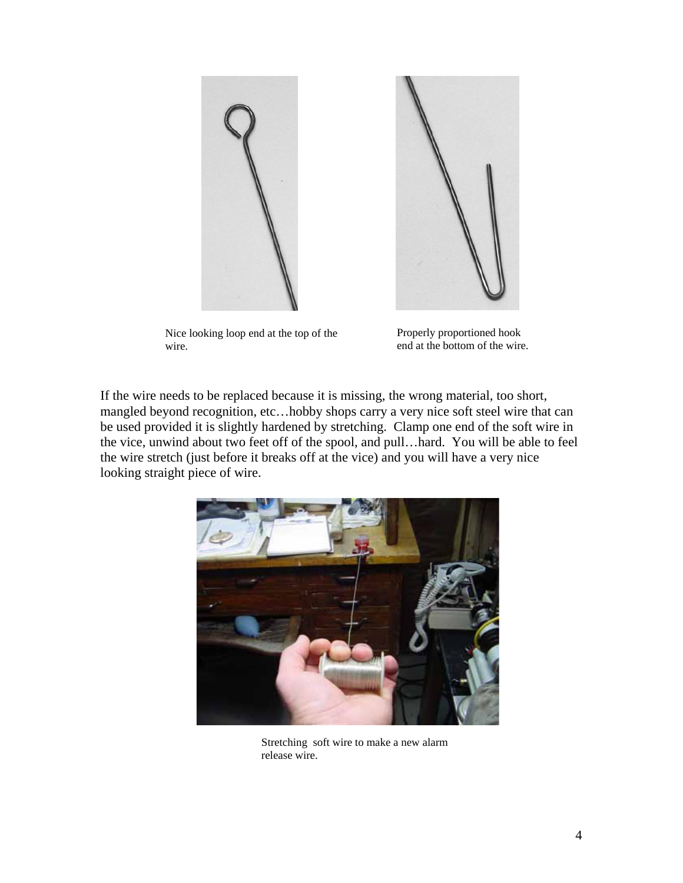



Nice looking loop end at the top of the wire.

Properly proportioned hook end at the bottom of the wire.

If the wire needs to be replaced because it is missing, the wrong material, too short, mangled beyond recognition, etc…hobby shops carry a very nice soft steel wire that can be used provided it is slightly hardened by stretching. Clamp one end of the soft wire in the vice, unwind about two feet off of the spool, and pull…hard. You will be able to feel the wire stretch (just before it breaks off at the vice) and you will have a very nice looking straight piece of wire.



Stretching soft wire to make a new alarm release wire.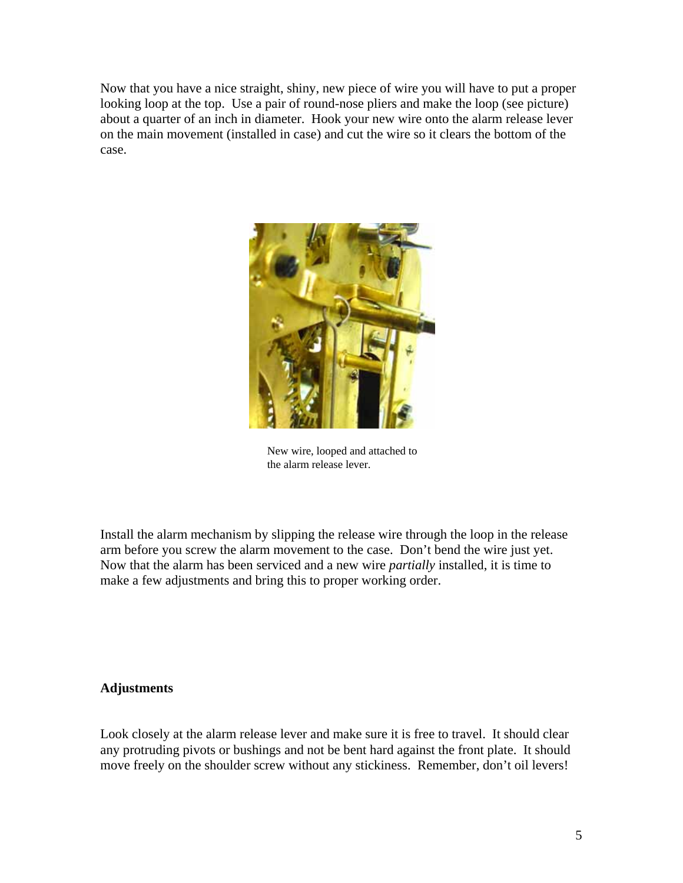Now that you have a nice straight, shiny, new piece of wire you will have to put a proper looking loop at the top. Use a pair of round-nose pliers and make the loop (see picture) about a quarter of an inch in diameter. Hook your new wire onto the alarm release lever on the main movement (installed in case) and cut the wire so it clears the bottom of the case.



New wire, looped and attached to the alarm release lever.

Install the alarm mechanism by slipping the release wire through the loop in the release arm before you screw the alarm movement to the case. Don't bend the wire just yet. Now that the alarm has been serviced and a new wire *partially* installed, it is time to make a few adjustments and bring this to proper working order.

#### **Adjustments**

Look closely at the alarm release lever and make sure it is free to travel. It should clear any protruding pivots or bushings and not be bent hard against the front plate. It should move freely on the shoulder screw without any stickiness. Remember, don't oil levers!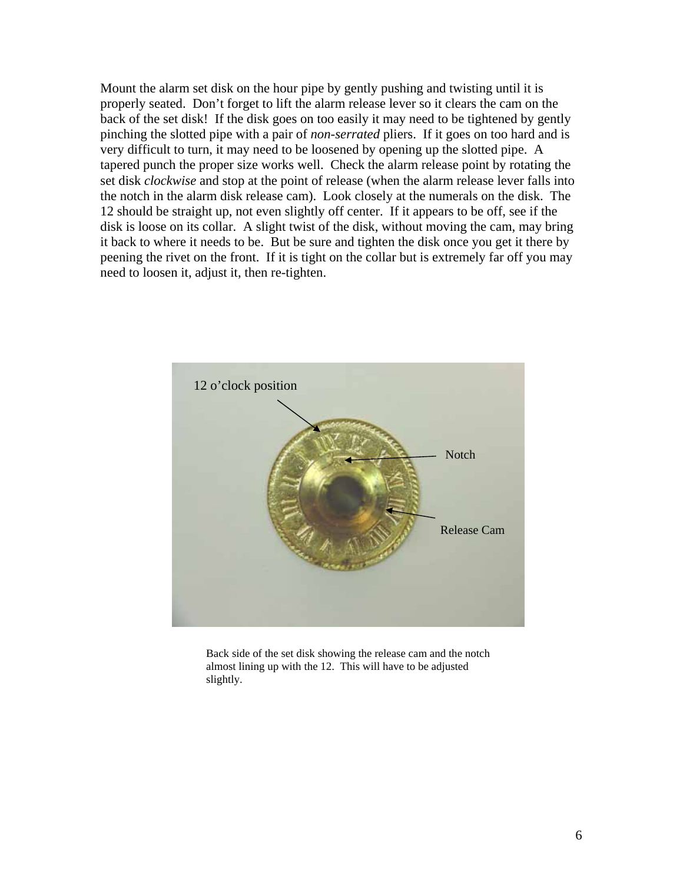Mount the alarm set disk on the hour pipe by gently pushing and twisting until it is properly seated. Don't forget to lift the alarm release lever so it clears the cam on the back of the set disk! If the disk goes on too easily it may need to be tightened by gently pinching the slotted pipe with a pair of *non-serrated* pliers. If it goes on too hard and is very difficult to turn, it may need to be loosened by opening up the slotted pipe. A tapered punch the proper size works well. Check the alarm release point by rotating the set disk *clockwise* and stop at the point of release (when the alarm release lever falls into the notch in the alarm disk release cam). Look closely at the numerals on the disk. The 12 should be straight up, not even slightly off center. If it appears to be off, see if the disk is loose on its collar. A slight twist of the disk, without moving the cam, may bring it back to where it needs to be. But be sure and tighten the disk once you get it there by peening the rivet on the front. If it is tight on the collar but is extremely far off you may need to loosen it, adjust it, then re-tighten.



Back side of the set disk showing the release cam and the notch almost lining up with the 12. This will have to be adjusted slightly.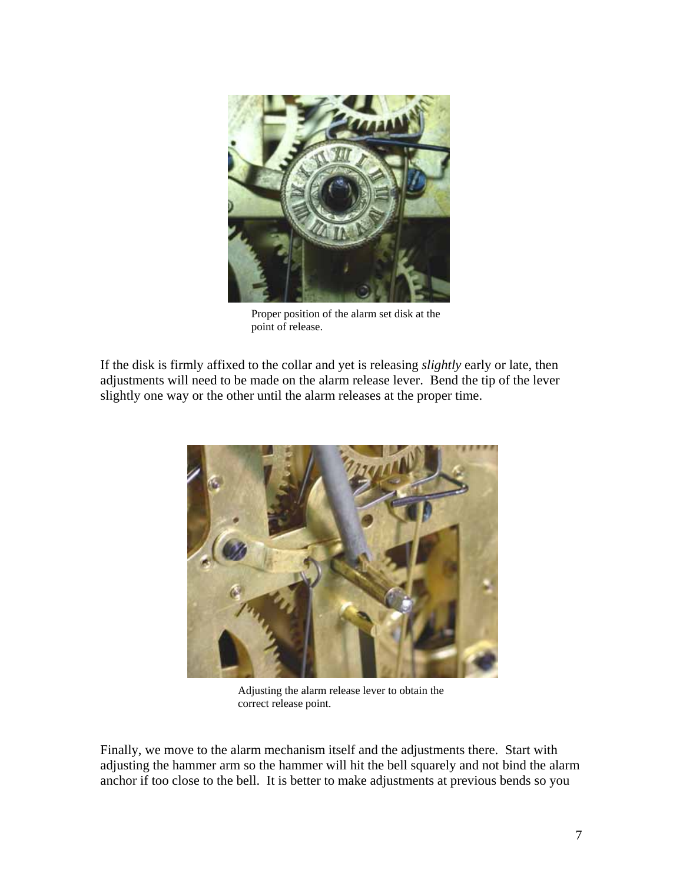

Proper position of the alarm set disk at the point of release.

If the disk is firmly affixed to the collar and yet is releasing *slightly* early or late, then adjustments will need to be made on the alarm release lever. Bend the tip of the lever slightly one way or the other until the alarm releases at the proper time.



Adjusting the alarm release lever to obtain the correct release point.

Finally, we move to the alarm mechanism itself and the adjustments there. Start with adjusting the hammer arm so the hammer will hit the bell squarely and not bind the alarm anchor if too close to the bell. It is better to make adjustments at previous bends so you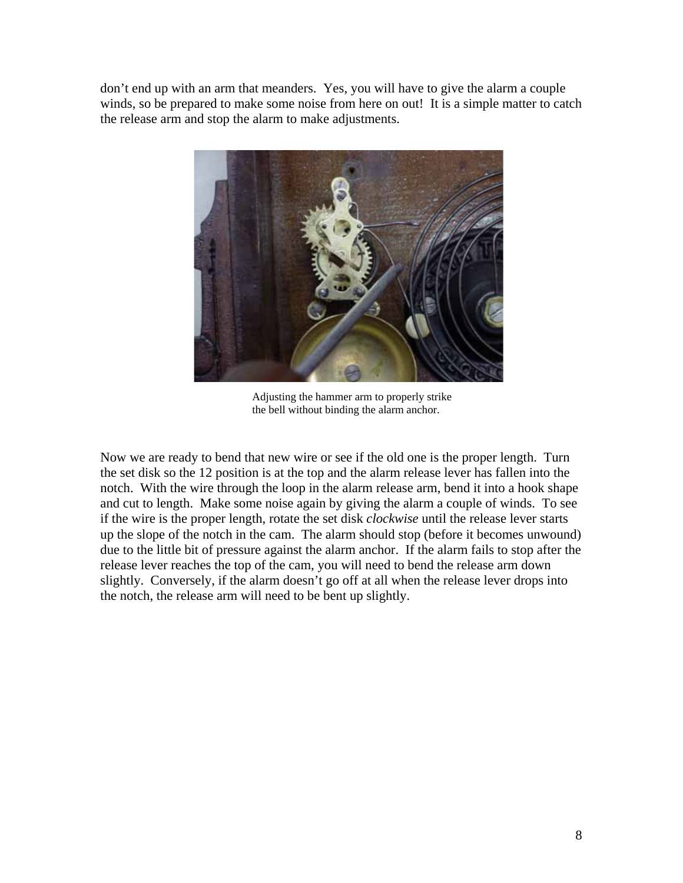don't end up with an arm that meanders. Yes, you will have to give the alarm a couple winds, so be prepared to make some noise from here on out! It is a simple matter to catch the release arm and stop the alarm to make adjustments.



Adjusting the hammer arm to properly strike the bell without binding the alarm anchor.

Now we are ready to bend that new wire or see if the old one is the proper length. Turn the set disk so the 12 position is at the top and the alarm release lever has fallen into the notch. With the wire through the loop in the alarm release arm, bend it into a hook shape and cut to length. Make some noise again by giving the alarm a couple of winds. To see if the wire is the proper length, rotate the set disk *clockwise* until the release lever starts up the slope of the notch in the cam. The alarm should stop (before it becomes unwound) due to the little bit of pressure against the alarm anchor. If the alarm fails to stop after the release lever reaches the top of the cam, you will need to bend the release arm down slightly. Conversely, if the alarm doesn't go off at all when the release lever drops into the notch, the release arm will need to be bent up slightly.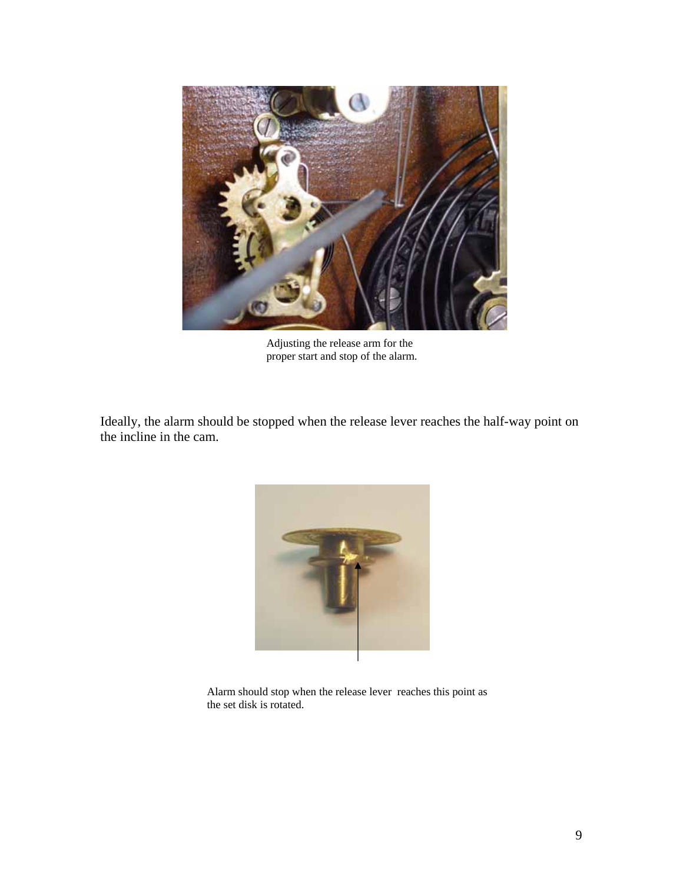

Adjusting the release arm for the proper start and stop of the alarm.

Ideally, the alarm should be stopped when the release lever reaches the half-way point on the incline in the cam.



Alarm should stop when the release lever reaches this point as the set disk is rotated.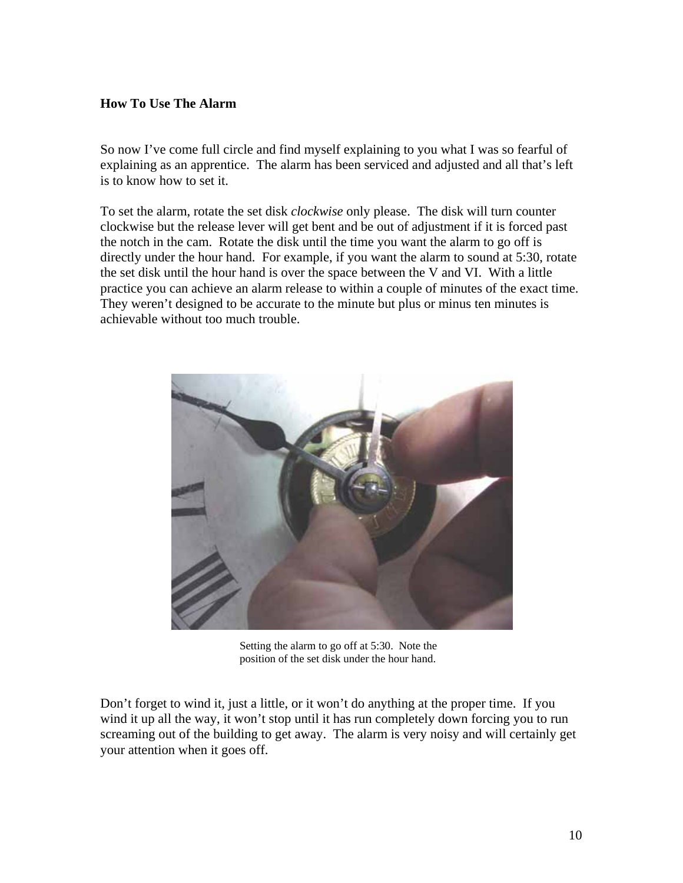## **How To Use The Alarm**

So now I've come full circle and find myself explaining to you what I was so fearful of explaining as an apprentice. The alarm has been serviced and adjusted and all that's left is to know how to set it.

To set the alarm, rotate the set disk *clockwise* only please. The disk will turn counter clockwise but the release lever will get bent and be out of adjustment if it is forced past the notch in the cam. Rotate the disk until the time you want the alarm to go off is directly under the hour hand. For example, if you want the alarm to sound at 5:30, rotate the set disk until the hour hand is over the space between the V and VI. With a little practice you can achieve an alarm release to within a couple of minutes of the exact time. They weren't designed to be accurate to the minute but plus or minus ten minutes is achievable without too much trouble.



Setting the alarm to go off at 5:30. Note the position of the set disk under the hour hand.

Don't forget to wind it, just a little, or it won't do anything at the proper time. If you wind it up all the way, it won't stop until it has run completely down forcing you to run screaming out of the building to get away. The alarm is very noisy and will certainly get your attention when it goes off.